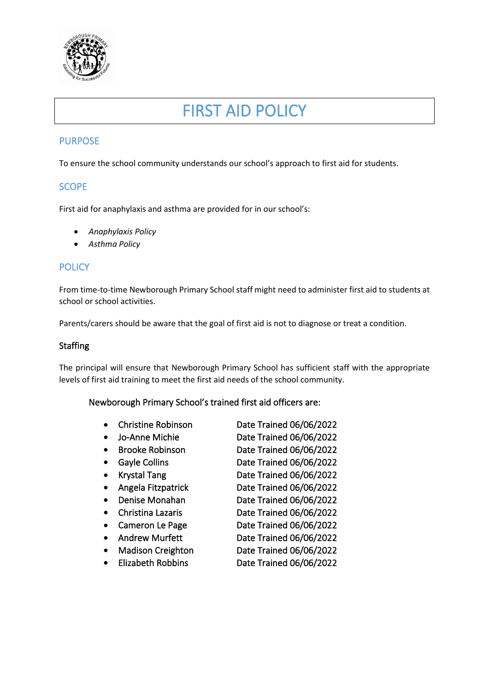

# FIRST AID POLICY

## PURPOSE

To ensure the school community understands our school's approach to first aid for students.

## **SCOPE**

First aid for anaphylaxis and asthma are provided for in our school's:

- *Anaphylaxis Policy*
- *Asthma Policy*

## **POLICY**

From time-to-time Newborough Primary School staff might need to administer first aid to students at school or school activities.

Parents/carers should be aware that the goal of first aid is not to diagnose or treat a condition.

### Staffing

The principal will ensure that Newborough Primary School has sufficient staff with the appropriate levels of first aid training to meet the first aid needs of the school community.

#### Newborough Primary School's trained first aid officers are:

|           | <b>Christine Robinson</b> | Date Trained 06/06/2022 |
|-----------|---------------------------|-------------------------|
| $\bullet$ | Jo-Anne Michie            | Date Trained 06/06/2022 |
| $\bullet$ | <b>Brooke Robinson</b>    | Date Trained 06/06/2022 |
|           | Gayle Collins             | Date Trained 06/06/2022 |
|           | <b>Krystal Tang</b>       | Date Trained 06/06/2022 |
|           | Angela Fitzpatrick        | Date Trained 06/06/2022 |
|           | Denise Monahan            | Date Trained 06/06/2022 |
|           | Christina Lazaris         | Date Trained 06/06/2022 |
|           | Cameron Le Page           | Date Trained 06/06/2022 |
|           | <b>Andrew Murfett</b>     | Date Trained 06/06/2022 |
|           | <b>Madison Creighton</b>  | Date Trained 06/06/2022 |
|           | <b>Elizabeth Robbins</b>  | Date Trained 06/06/2022 |
|           |                           |                         |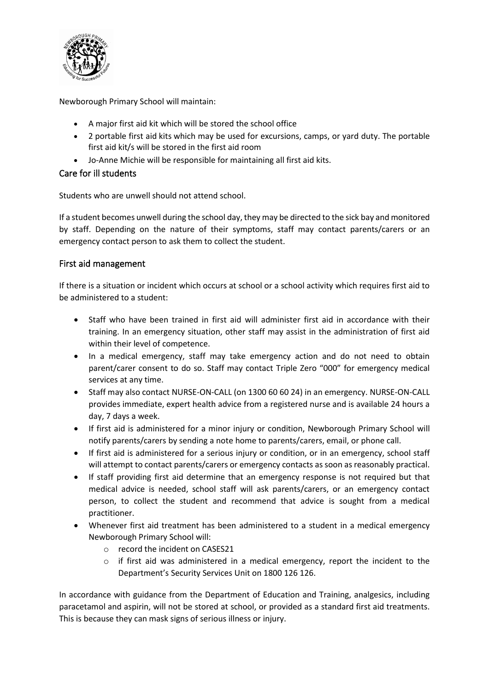

Newborough Primary School will maintain:

- A major first aid kit which will be stored the school office
- 2 portable first aid kits which may be used for excursions, camps, or yard duty. The portable first aid kit/s will be stored in the first aid room
- Jo-Anne Michie will be responsible for maintaining all first aid kits.

## Care for ill students

Students who are unwell should not attend school.

If a student becomes unwell during the school day, they may be directed to the sick bay and monitored by staff. Depending on the nature of their symptoms, staff may contact parents/carers or an emergency contact person to ask them to collect the student.

## First aid management

If there is a situation or incident which occurs at school or a school activity which requires first aid to be administered to a student:

- Staff who have been trained in first aid will administer first aid in accordance with their training. In an emergency situation, other staff may assist in the administration of first aid within their level of competence.
- In a medical emergency, staff may take emergency action and do not need to obtain parent/carer consent to do so. Staff may contact Triple Zero "000" for emergency medical services at any time.
- Staff may also contact NURSE-ON-CALL (on 1300 60 60 24) in an emergency. NURSE-ON-CALL provides immediate, expert health advice from a registered nurse and is available 24 hours a day, 7 days a week.
- If first aid is administered for a minor injury or condition, Newborough Primary School will notify parents/carers by sending a note home to parents/carers, email, or phone call.
- If first aid is administered for a serious injury or condition, or in an emergency, school staff will attempt to contact parents/carers or emergency contacts as soon as reasonably practical.
- If staff providing first aid determine that an emergency response is not required but that medical advice is needed, school staff will ask parents/carers, or an emergency contact person, to collect the student and recommend that advice is sought from a medical practitioner.
- Whenever first aid treatment has been administered to a student in a medical emergency Newborough Primary School will:
	- o record the incident on CASES21
	- o if first aid was administered in a medical emergency, report the incident to the Department's Security Services Unit on 1800 126 126.

In accordance with guidance from the Department of Education and Training, analgesics, including paracetamol and aspirin, will not be stored at school, or provided as a standard first aid treatments. This is because they can mask signs of serious illness or injury.